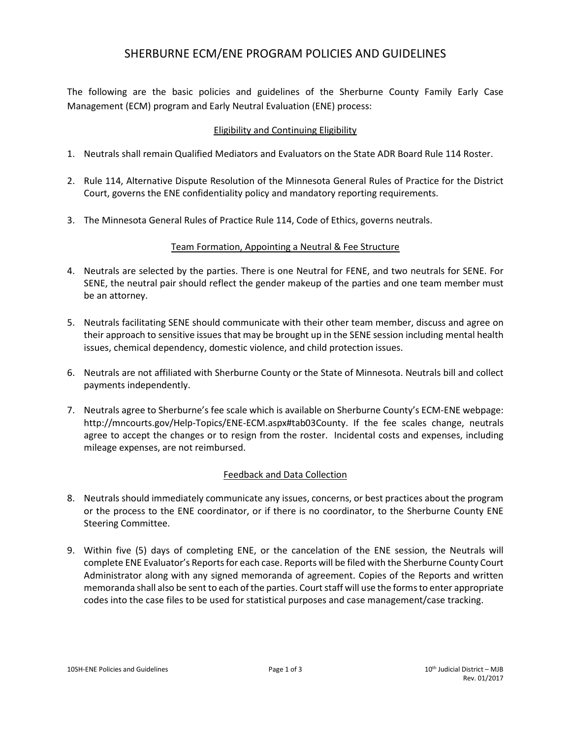# SHERBURNE ECM/ENE PROGRAM POLICIES AND GUIDELINES

The following are the basic policies and guidelines of the Sherburne County Family Early Case Management (ECM) program and Early Neutral Evaluation (ENE) process:

### Eligibility and Continuing Eligibility

- 1. Neutrals shall remain Qualified Mediators and Evaluators on the State ADR Board Rule 114 Roster.
- 2. Rule 114, Alternative Dispute Resolution of the Minnesota General Rules of Practice for the District Court, governs the ENE confidentiality policy and mandatory reporting requirements.
- 3. The Minnesota General Rules of Practice Rule 114, Code of Ethics, governs neutrals.

#### Team Formation, Appointing a Neutral & Fee Structure

- 4. Neutrals are selected by the parties. There is one Neutral for FENE, and two neutrals for SENE. For SENE, the neutral pair should reflect the gender makeup of the parties and one team member must be an attorney.
- 5. Neutrals facilitating SENE should communicate with their other team member, discuss and agree on their approach to sensitive issues that may be brought up in the SENE session including mental health issues, chemical dependency, domestic violence, and child protection issues.
- 6. Neutrals are not affiliated with Sherburne County or the State of Minnesota. Neutrals bill and collect payments independently.
- 7. Neutrals agree to Sherburne's fee scale which is available on Sherburne County's ECM-ENE webpage: http://mncourts.gov/Help-Topics/ENE-ECM.aspx#tab03County. If the fee scales change, neutrals agree to accept the changes or to resign from the roster. Incidental costs and expenses, including mileage expenses, are not reimbursed.

## Feedback and Data Collection

- 8. Neutrals should immediately communicate any issues, concerns, or best practices about the program or the process to the ENE coordinator, or if there is no coordinator, to the Sherburne County ENE Steering Committee.
- 9. Within five (5) days of completing ENE, or the cancelation of the ENE session, the Neutrals will complete ENE Evaluator's Reports for each case. Reports will be filed with the Sherburne County Court Administrator along with any signed memoranda of agreement. Copies of the Reports and written memoranda shall also be sent to each of the parties. Court staff will use the forms to enter appropriate codes into the case files to be used for statistical purposes and case management/case tracking.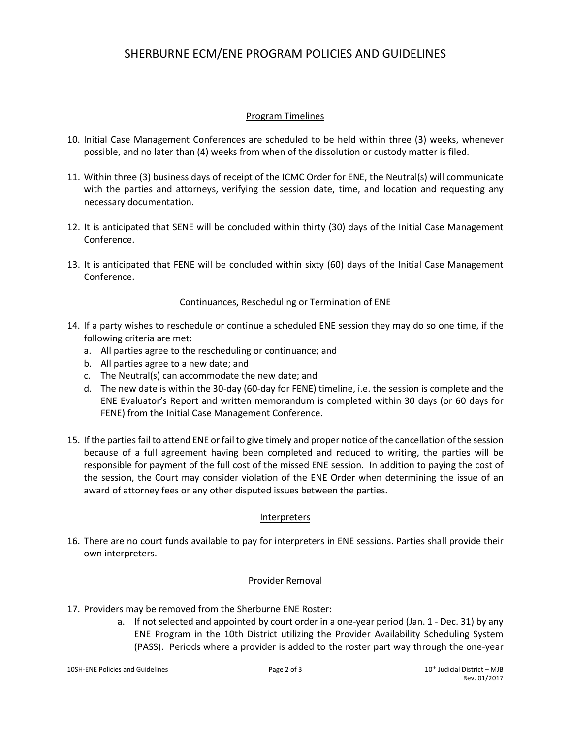# SHERBURNE ECM/ENE PROGRAM POLICIES AND GUIDELINES

## Program Timelines

- 10. Initial Case Management Conferences are scheduled to be held within three (3) weeks, whenever possible, and no later than (4) weeks from when of the dissolution or custody matter is filed.
- 11. Within three (3) business days of receipt of the ICMC Order for ENE, the Neutral(s) will communicate with the parties and attorneys, verifying the session date, time, and location and requesting any necessary documentation.
- 12. It is anticipated that SENE will be concluded within thirty (30) days of the Initial Case Management Conference.
- 13. It is anticipated that FENE will be concluded within sixty (60) days of the Initial Case Management Conference.

### Continuances, Rescheduling or Termination of ENE

- 14. If a party wishes to reschedule or continue a scheduled ENE session they may do so one time, if the following criteria are met:
	- a. All parties agree to the rescheduling or continuance; and
	- b. All parties agree to a new date; and
	- c. The Neutral(s) can accommodate the new date; and
	- d. The new date is within the 30-day (60-day for FENE) timeline, i.e. the session is complete and the ENE Evaluator's Report and written memorandum is completed within 30 days (or 60 days for FENE) from the Initial Case Management Conference.
- 15. If the parties fail to attend ENE or fail to give timely and proper notice of the cancellation of the session because of a full agreement having been completed and reduced to writing, the parties will be responsible for payment of the full cost of the missed ENE session. In addition to paying the cost of the session, the Court may consider violation of the ENE Order when determining the issue of an award of attorney fees or any other disputed issues between the parties.

#### **Interpreters**

16. There are no court funds available to pay for interpreters in ENE sessions. Parties shall provide their own interpreters.

#### Provider Removal

- 17. Providers may be removed from the Sherburne ENE Roster:
	- a. If not selected and appointed by court order in a one-year period (Jan. 1 Dec. 31) by any ENE Program in the 10th District utilizing the Provider Availability Scheduling System (PASS). Periods where a provider is added to the roster part way through the one-year